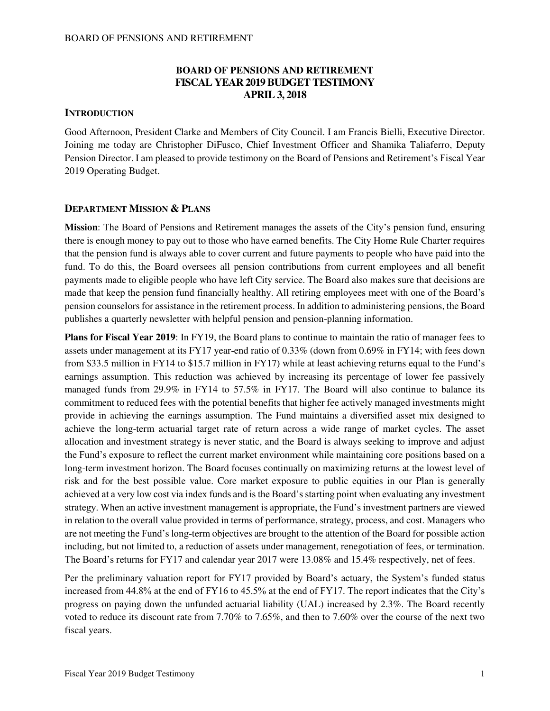### **BOARD OF PENSIONS AND RETIREMENT FISCAL YEAR 2019 BUDGET TESTIMONY APRIL 3, 2018**

#### **INTRODUCTION**

Good Afternoon, President Clarke and Members of City Council. I am Francis Bielli, Executive Director. Joining me today are Christopher DiFusco, Chief Investment Officer and Shamika Taliaferro, Deputy Pension Director. I am pleased to provide testimony on the Board of Pensions and Retirement's Fiscal Year 2019 Operating Budget.

#### **DEPARTMENT MISSION & PLANS**

**Mission**: The Board of Pensions and Retirement manages the assets of the City's pension fund, ensuring there is enough money to pay out to those who have earned benefits. The City Home Rule Charter requires that the pension fund is always able to cover current and future payments to people who have paid into the fund. To do this, the Board oversees all pension contributions from current employees and all benefit payments made to eligible people who have left City service. The Board also makes sure that decisions are made that keep the pension fund financially healthy. All retiring employees meet with one of the Board's pension counselors for assistance in the retirement process. In addition to administering pensions, the Board publishes a quarterly newsletter with helpful pension and pension-planning information.

**Plans for Fiscal Year 2019**: In FY19, the Board plans to continue to maintain the ratio of manager fees to assets under management at its FY17 year-end ratio of 0.33% (down from 0.69% in FY14; with fees down from \$33.5 million in FY14 to \$15.7 million in FY17) while at least achieving returns equal to the Fund's earnings assumption. This reduction was achieved by increasing its percentage of lower fee passively managed funds from 29.9% in FY14 to 57.5% in FY17. The Board will also continue to balance its commitment to reduced fees with the potential benefits that higher fee actively managed investments might provide in achieving the earnings assumption. The Fund maintains a diversified asset mix designed to achieve the long-term actuarial target rate of return across a wide range of market cycles. The asset allocation and investment strategy is never static, and the Board is always seeking to improve and adjust the Fund's exposure to reflect the current market environment while maintaining core positions based on a long-term investment horizon. The Board focuses continually on maximizing returns at the lowest level of risk and for the best possible value. Core market exposure to public equities in our Plan is generally achieved at a very low cost via index funds and is the Board's starting point when evaluating any investment strategy. When an active investment management is appropriate, the Fund's investment partners are viewed in relation to the overall value provided in terms of performance, strategy, process, and cost. Managers who are not meeting the Fund's long-term objectives are brought to the attention of the Board for possible action including, but not limited to, a reduction of assets under management, renegotiation of fees, or termination. The Board's returns for FY17 and calendar year 2017 were 13.08% and 15.4% respectively, net of fees.

Per the preliminary valuation report for FY17 provided by Board's actuary, the System's funded status increased from 44.8% at the end of FY16 to 45.5% at the end of FY17. The report indicates that the City's progress on paying down the unfunded actuarial liability (UAL) increased by 2.3%. The Board recently voted to reduce its discount rate from 7.70% to 7.65%, and then to 7.60% over the course of the next two fiscal years.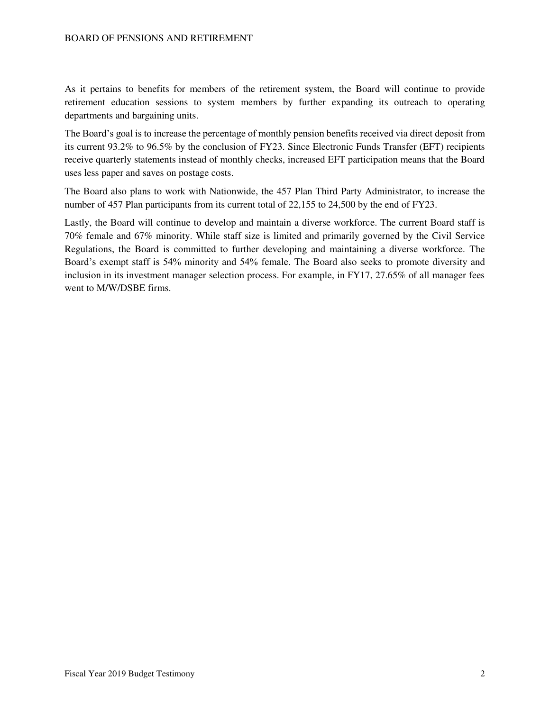As it pertains to benefits for members of the retirement system, the Board will continue to provide retirement education sessions to system members by further expanding its outreach to operating departments and bargaining units.

The Board's goal is to increase the percentage of monthly pension benefits received via direct deposit from its current 93.2% to 96.5% by the conclusion of FY23. Since Electronic Funds Transfer (EFT) recipients receive quarterly statements instead of monthly checks, increased EFT participation means that the Board uses less paper and saves on postage costs.

The Board also plans to work with Nationwide, the 457 Plan Third Party Administrator, to increase the number of 457 Plan participants from its current total of 22,155 to 24,500 by the end of FY23.

Lastly, the Board will continue to develop and maintain a diverse workforce. The current Board staff is 70% female and 67% minority. While staff size is limited and primarily governed by the Civil Service Regulations, the Board is committed to further developing and maintaining a diverse workforce. The Board's exempt staff is 54% minority and 54% female. The Board also seeks to promote diversity and inclusion in its investment manager selection process. For example, in FY17, 27.65% of all manager fees went to M/W/DSBE firms.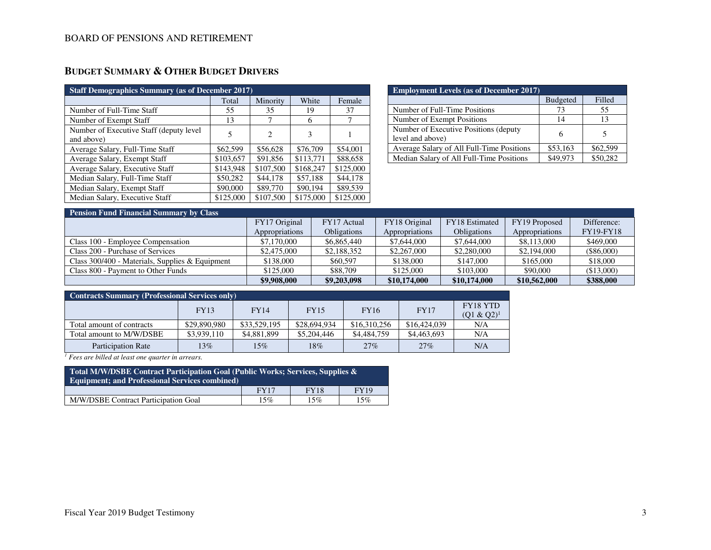# **BUDGET SUMMARY & OTHER BUDGET DRIVERS**

| <b>Staff Demographics Summary (as of December 2017)</b> |           |                             |           |           |  |  |  |  |  |
|---------------------------------------------------------|-----------|-----------------------------|-----------|-----------|--|--|--|--|--|
|                                                         | Total     | Minority                    | White     | Female    |  |  |  |  |  |
| Number of Full-Time Staff                               | 55        | 35                          | 19        | 37        |  |  |  |  |  |
| Number of Exempt Staff                                  | 13        |                             | 6         |           |  |  |  |  |  |
| Number of Executive Staff (deputy level)<br>and above)  | 5         | $\mathcal{D}_{\mathcal{L}}$ | 3         |           |  |  |  |  |  |
| Average Salary, Full-Time Staff                         | \$62,599  | \$56,628                    | \$76,709  | \$54,001  |  |  |  |  |  |
| Average Salary, Exempt Staff                            | \$103,657 | \$91.856                    | \$113,771 | \$88,658  |  |  |  |  |  |
| Average Salary, Executive Staff                         | \$143,948 | \$107,500                   | \$168,247 | \$125,000 |  |  |  |  |  |
| Median Salary, Full-Time Staff                          | \$50,282  | \$44,178                    | \$57,188  | \$44,178  |  |  |  |  |  |
| Median Salary, Exempt Staff                             | \$90,000  | \$89,770                    | \$90,194  | \$89,539  |  |  |  |  |  |
| Median Salary, Executive Staff                          | \$125,000 | \$107,500                   | \$175,000 | \$125,000 |  |  |  |  |  |

| <b>Employment Levels (as of December 2017)</b>             |                 |          |  |  |  |  |  |
|------------------------------------------------------------|-----------------|----------|--|--|--|--|--|
|                                                            | <b>Budgeted</b> | Filled   |  |  |  |  |  |
| Number of Full-Time Positions                              | 73              | 55       |  |  |  |  |  |
| Number of Exempt Positions                                 | 14              | 13       |  |  |  |  |  |
| Number of Executive Positions (deputy)<br>level and above) | 6               |          |  |  |  |  |  |
| Average Salary of All Full-Time Positions                  | \$53,163        | \$62,599 |  |  |  |  |  |
| Median Salary of All Full-Time Positions                   | \$49.973        | \$50,282 |  |  |  |  |  |

| <b>Pension Fund Financial Summary by Class</b>  |                |                    |                |                    |                |                  |  |  |  |  |
|-------------------------------------------------|----------------|--------------------|----------------|--------------------|----------------|------------------|--|--|--|--|
|                                                 | FY17 Original  | FY17 Actual        | FY18 Original  | FY18 Estimated     | FY19 Proposed  | Difference:      |  |  |  |  |
|                                                 | Appropriations | <b>Obligations</b> | Appropriations | <b>Obligations</b> | Appropriations | <b>FY19-FY18</b> |  |  |  |  |
| Class 100 - Employee Compensation               | \$7,170,000    | \$6,865,440        | \$7,644,000    | \$7,644,000        | \$8,113,000    | \$469,000        |  |  |  |  |
| Class 200 - Purchase of Services                | \$2,475,000    | \$2,188,352        | \$2,267,000    | \$2,280,000        | \$2,194,000    | $(\$86,000)$     |  |  |  |  |
| Class 300/400 - Materials, Supplies & Equipment | \$138,000      | \$60,597           | \$138,000      | \$147,000          | \$165,000      | \$18,000         |  |  |  |  |
| Class 800 - Payment to Other Funds              | \$125,000      | \$88,709           | \$125,000      | \$103,000          | \$90,000       | (\$13,000)       |  |  |  |  |
|                                                 | \$9,908,000    | \$9,203,098        | \$10,174,000   | \$10,174,000       | \$10,562,000   | \$388,000        |  |  |  |  |

| <b>Contracts Summary (Professional Services only)</b> |              |              |              |              |              |                                  |  |  |  |
|-------------------------------------------------------|--------------|--------------|--------------|--------------|--------------|----------------------------------|--|--|--|
|                                                       | <b>FY13</b>  | <b>FY14</b>  | <b>FY15</b>  | <b>FY16</b>  | <b>FY17</b>  | <b>FY18 YTD</b><br>$(Q1 & Q2)^1$ |  |  |  |
| Total amount of contracts                             | \$29,890,980 | \$33,529,195 | \$28,694,934 | \$16,310,256 | \$16,424,039 | N/A                              |  |  |  |
| Total amount to M/W/DSBE                              | \$3,939,110  | \$4,881,899  | \$5,204,446  | \$4,484,759  | \$4,463,693  | N/A                              |  |  |  |
| <b>Participation Rate</b>                             | 13%          | 15%          | 18%          | 27%          | 27%          | N/A                              |  |  |  |

*1 Fees are billed at least one quarter in arrears.* 

| Total M/W/DSBE Contract Participation Goal (Public Works; Services, Supplies &<br><b>Equipment: and Professional Services combined)</b> |             |             |             |  |  |  |  |
|-----------------------------------------------------------------------------------------------------------------------------------------|-------------|-------------|-------------|--|--|--|--|
|                                                                                                                                         | <b>FY17</b> | <b>FY18</b> | <b>FY19</b> |  |  |  |  |
| M/W/DSBE Contract Participation Goal                                                                                                    | 15%         | 15%         | 15%         |  |  |  |  |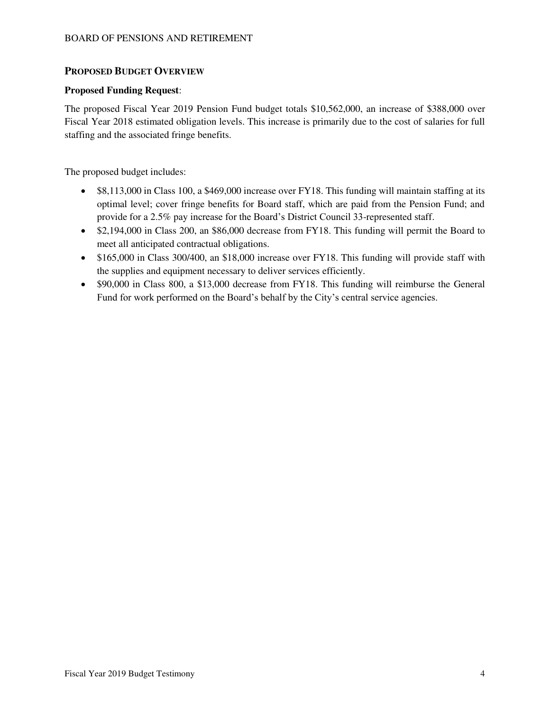### **PROPOSED BUDGET OVERVIEW**

#### **Proposed Funding Request**:

The proposed Fiscal Year 2019 Pension Fund budget totals \$10,562,000, an increase of \$388,000 over Fiscal Year 2018 estimated obligation levels. This increase is primarily due to the cost of salaries for full staffing and the associated fringe benefits.

The proposed budget includes:

- \$8,113,000 in Class 100, a \$469,000 increase over FY18. This funding will maintain staffing at its optimal level; cover fringe benefits for Board staff, which are paid from the Pension Fund; and provide for a 2.5% pay increase for the Board's District Council 33-represented staff.
- \$2,194,000 in Class 200, an \$86,000 decrease from FY18. This funding will permit the Board to meet all anticipated contractual obligations.
- \$165,000 in Class 300/400, an \$18,000 increase over FY18. This funding will provide staff with the supplies and equipment necessary to deliver services efficiently.
- \$90,000 in Class 800, a \$13,000 decrease from FY18. This funding will reimburse the General Fund for work performed on the Board's behalf by the City's central service agencies.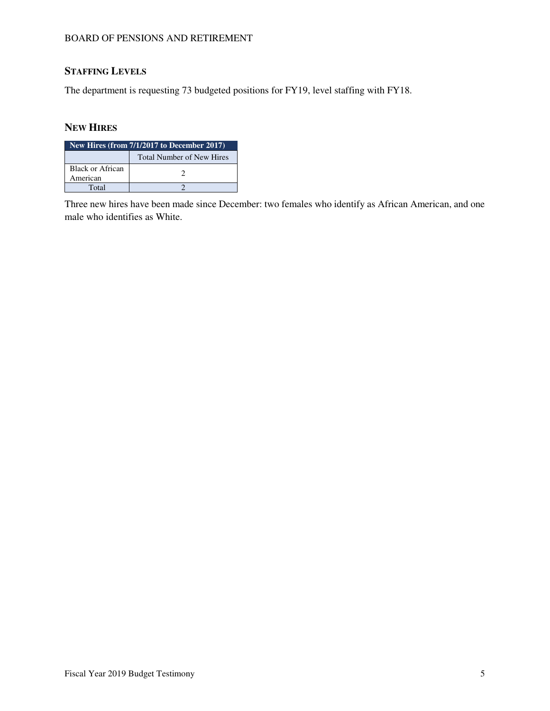#### BOARD OF PENSIONS AND RETIREMENT

# **STAFFING LEVELS**

The department is requesting 73 budgeted positions for FY19, level staffing with FY18.

### **NEW HIRES**

| New Hires (from $7/1/2017$ to December 2017) |  |  |  |  |  |  |
|----------------------------------------------|--|--|--|--|--|--|
| <b>Total Number of New Hires</b>             |  |  |  |  |  |  |
| <b>Black or African</b><br>American          |  |  |  |  |  |  |
| Total                                        |  |  |  |  |  |  |

Three new hires have been made since December: two females who identify as African American, and one male who identifies as White.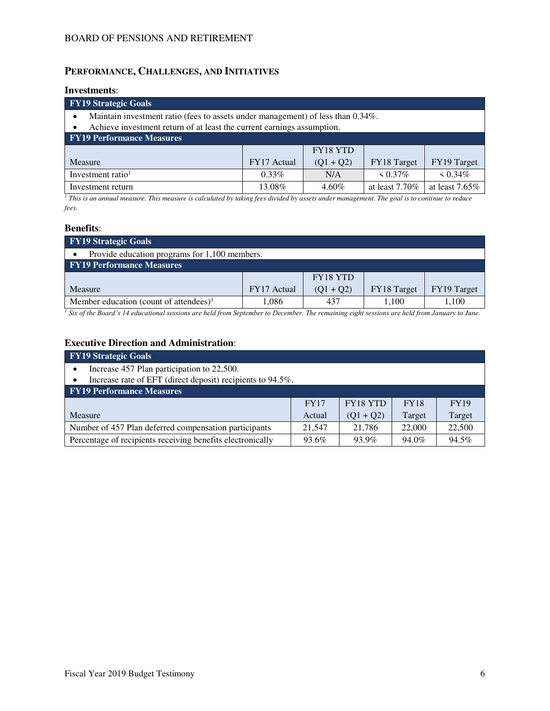## **PERFORMANCE, CHALLENGES, AND INITIATIVES**

#### **Investments**:

| <b>FY19 Strategic Goals</b>                                                                  |             |             |                   |                   |  |  |  |  |
|----------------------------------------------------------------------------------------------|-------------|-------------|-------------------|-------------------|--|--|--|--|
| Maintain investment ratio (fees to assets under management) of less than 0.34%.<br>$\bullet$ |             |             |                   |                   |  |  |  |  |
| Achieve investment return of at least the current earnings assumption.<br>$\bullet$          |             |             |                   |                   |  |  |  |  |
| <b>FY19 Performance Measures</b>                                                             |             |             |                   |                   |  |  |  |  |
|                                                                                              |             | FY18 YTD    |                   |                   |  |  |  |  |
| Measure                                                                                      | FY17 Actual | $(Q1 + Q2)$ | FY18 Target       | FY19 Target       |  |  |  |  |
| Investment ratio <sup>1</sup><br>$\leq 0.34\%$<br>$0.33\%$<br>$\leq 0.37\%$<br>N/A           |             |             |                   |                   |  |  |  |  |
| Investment return                                                                            | 13.08%      | $4.60\%$    | at least $7.70\%$ | at least $7.65\%$ |  |  |  |  |

*1 This is an annual measure. This measure is calculated by taking fees divided by assets under management. The goal is to continue to reduce fees.* 

#### **Benefits**:

| <b>FY19 Strategic Goals</b>                        |             |                 |             |             |  |  |  |
|----------------------------------------------------|-------------|-----------------|-------------|-------------|--|--|--|
| Provide education programs for 1,100 members.      |             |                 |             |             |  |  |  |
| <b>FY19 Performance Measures</b>                   |             |                 |             |             |  |  |  |
|                                                    |             | <b>FY18 YTD</b> |             |             |  |  |  |
| Measure                                            | FY17 Actual | $(Q1 + Q2)$     | FY18 Target | FY19 Target |  |  |  |
| Member education (count of attendees) <sup>1</sup> | 1,086       | 437             | 1.100       | .100        |  |  |  |

*<sup>1</sup> Six of the Board's 14 educational sessions are held from September to December. The remaining eight sessions are held from January to June.*

## **Executive Direction and Administration**:

| <b>FY19 Strategic Goals</b>                                |        |             |        |        |  |  |  |  |
|------------------------------------------------------------|--------|-------------|--------|--------|--|--|--|--|
| Increase 457 Plan participation to 22,500.                 |        |             |        |        |  |  |  |  |
| Increase rate of EFT (direct deposit) recipients to 94.5%. |        |             |        |        |  |  |  |  |
| <b>FY19 Performance Measures</b>                           |        |             |        |        |  |  |  |  |
| FY18 YTD<br><b>FY17</b><br><b>FY18</b><br><b>FY19</b>      |        |             |        |        |  |  |  |  |
| Measure                                                    | Actual | $(Q1 + Q2)$ | Target | Target |  |  |  |  |
| Number of 457 Plan deferred compensation participants      | 21,547 | 21.786      | 22,000 | 22,500 |  |  |  |  |
| Percentage of recipients receiving benefits electronically | 93.6%  | 93.9%       | 94.0%  | 94.5%  |  |  |  |  |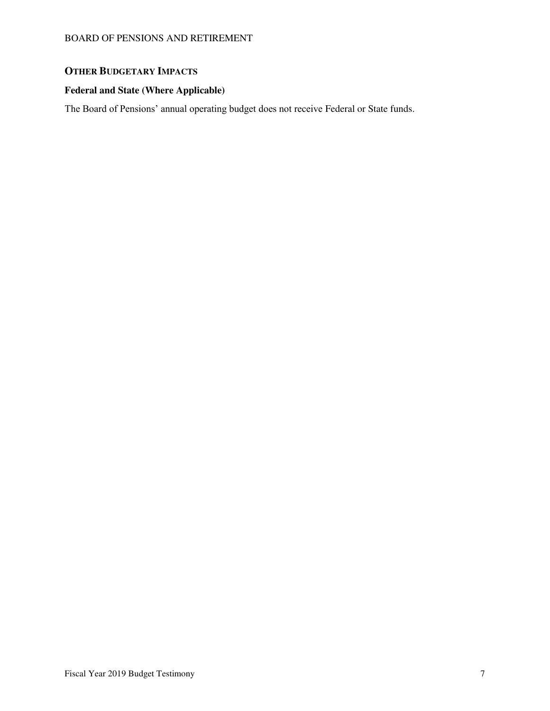## **OTHER BUDGETARY IMPACTS**

## **Federal and State (Where Applicable)**

The Board of Pensions' annual operating budget does not receive Federal or State funds.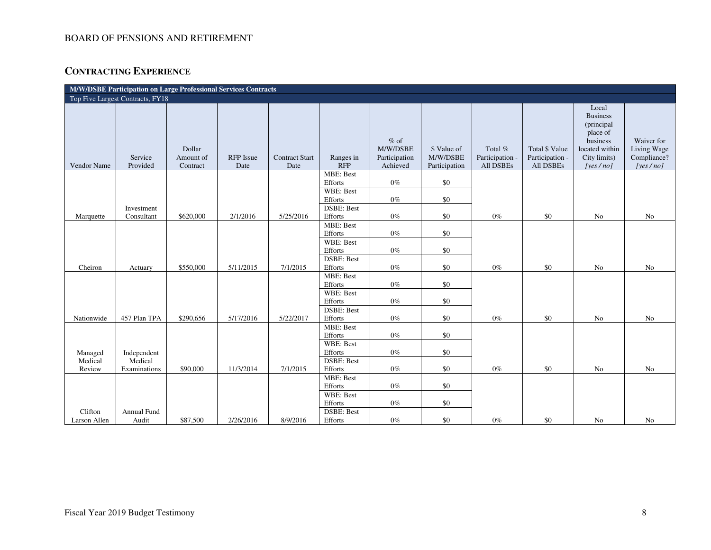### BOARD OF PENSIONS AND RETIREMENT

# **CONTRACTING EXPERIENCE**

| M/W/DSBE Participation on Large Professional Services Contracts |                                  |                                 |                   |                               |                              |                                                 |                                          |                                         |                                                       |                                                                                                              |                                                      |
|-----------------------------------------------------------------|----------------------------------|---------------------------------|-------------------|-------------------------------|------------------------------|-------------------------------------------------|------------------------------------------|-----------------------------------------|-------------------------------------------------------|--------------------------------------------------------------------------------------------------------------|------------------------------------------------------|
|                                                                 | Top Five Largest Contracts, FY18 |                                 |                   |                               |                              |                                                 |                                          |                                         |                                                       |                                                                                                              |                                                      |
| Vendor Name                                                     | Service<br>Provided              | Dollar<br>Amount of<br>Contract | RFP Issue<br>Date | <b>Contract Start</b><br>Date | Ranges in<br><b>RFP</b>      | $%$ of<br>M/W/DSBE<br>Participation<br>Achieved | \$ Value of<br>M/W/DSBE<br>Participation | Total %<br>Participation -<br>All DSBEs | <b>Total \$ Value</b><br>Participation -<br>All DSBEs | Local<br><b>Business</b><br>(principal<br>place of<br>business<br>located within<br>City limits)<br>[yes/no] | Waiver for<br>Living Wage<br>Compliance?<br>[yes/no] |
|                                                                 |                                  |                                 |                   |                               | MBE: Best                    |                                                 |                                          |                                         |                                                       |                                                                                                              |                                                      |
|                                                                 |                                  |                                 |                   |                               | Efforts<br>WBE: Best         | $0\%$                                           | \$0                                      |                                         |                                                       |                                                                                                              |                                                      |
|                                                                 |                                  |                                 |                   |                               | Efforts                      | $0\%$                                           | \$0                                      |                                         |                                                       |                                                                                                              |                                                      |
|                                                                 | Investment                       |                                 |                   |                               | <b>DSBE: Best</b>            |                                                 |                                          |                                         |                                                       |                                                                                                              |                                                      |
| Marquette                                                       | Consultant                       | \$620,000                       | 2/1/2016          | 5/25/2016                     | Efforts                      | $0\%$                                           | \$0                                      | $0\%$                                   | \$0                                                   | No                                                                                                           | No                                                   |
|                                                                 |                                  |                                 |                   |                               | <b>MBE: Best</b>             |                                                 |                                          |                                         |                                                       |                                                                                                              |                                                      |
|                                                                 |                                  |                                 |                   |                               | Efforts<br>WBE: Best         | $0\%$                                           | $\$0$                                    |                                         |                                                       |                                                                                                              |                                                      |
|                                                                 |                                  |                                 |                   |                               | Efforts                      | $0\%$                                           | \$0                                      |                                         |                                                       |                                                                                                              |                                                      |
|                                                                 |                                  |                                 |                   |                               | <b>DSBE: Best</b>            |                                                 |                                          |                                         |                                                       |                                                                                                              |                                                      |
| Cheiron                                                         | Actuary                          | \$550,000                       | 5/11/2015         | 7/1/2015                      | Efforts                      | $0\%$                                           | \$0                                      | $0\%$                                   | \$0                                                   | No                                                                                                           | No                                                   |
|                                                                 |                                  |                                 |                   |                               | <b>MBE: Best</b>             |                                                 |                                          |                                         |                                                       |                                                                                                              |                                                      |
|                                                                 |                                  |                                 |                   |                               | Efforts                      | $0\%$                                           | \$0                                      |                                         |                                                       |                                                                                                              |                                                      |
|                                                                 |                                  |                                 |                   |                               | WBE: Best                    | $0\%$                                           |                                          |                                         |                                                       |                                                                                                              |                                                      |
|                                                                 |                                  |                                 |                   |                               | Efforts<br><b>DSBE: Best</b> |                                                 | \$0                                      |                                         |                                                       |                                                                                                              |                                                      |
| Nationwide                                                      | 457 Plan TPA                     | \$290,656                       | 5/17/2016         | 5/22/2017                     | Efforts                      | $0\%$                                           | \$0                                      | $0\%$                                   | $\$0$                                                 | No                                                                                                           | No                                                   |
|                                                                 |                                  |                                 |                   |                               | <b>MBE: Best</b>             |                                                 |                                          |                                         |                                                       |                                                                                                              |                                                      |
|                                                                 |                                  |                                 |                   |                               | Efforts                      | $0\%$                                           | \$0                                      |                                         |                                                       |                                                                                                              |                                                      |
|                                                                 |                                  |                                 |                   |                               | WBE: Best                    |                                                 |                                          |                                         |                                                       |                                                                                                              |                                                      |
| Managed                                                         | Independent                      |                                 |                   |                               | Efforts                      | $0\%$                                           | $\$0$                                    |                                         |                                                       |                                                                                                              |                                                      |
| Medical                                                         | Medical                          | \$90,000                        | 11/3/2014         | 7/1/2015                      | <b>DSBE: Best</b>            | $0\%$                                           | \$0                                      | $0\%$                                   | \$0                                                   | No                                                                                                           | No                                                   |
| Review                                                          | Examinations                     |                                 |                   |                               | Efforts<br><b>MBE: Best</b>  |                                                 |                                          |                                         |                                                       |                                                                                                              |                                                      |
|                                                                 |                                  |                                 |                   |                               | Efforts                      | $0\%$                                           | \$0                                      |                                         |                                                       |                                                                                                              |                                                      |
|                                                                 |                                  |                                 |                   |                               | WBE: Best                    |                                                 |                                          |                                         |                                                       |                                                                                                              |                                                      |
|                                                                 |                                  |                                 |                   |                               | Efforts                      | $0\%$                                           | \$0                                      |                                         |                                                       |                                                                                                              |                                                      |
| Clifton                                                         | Annual Fund                      |                                 |                   |                               | <b>DSBE: Best</b>            |                                                 |                                          |                                         |                                                       |                                                                                                              |                                                      |
| Larson Allen                                                    | Audit                            | \$87,500                        | 2/26/2016         | 8/9/2016                      | Efforts                      | $0\%$                                           | \$0                                      | $0\%$                                   | \$0                                                   | N <sub>o</sub>                                                                                               | N <sub>o</sub>                                       |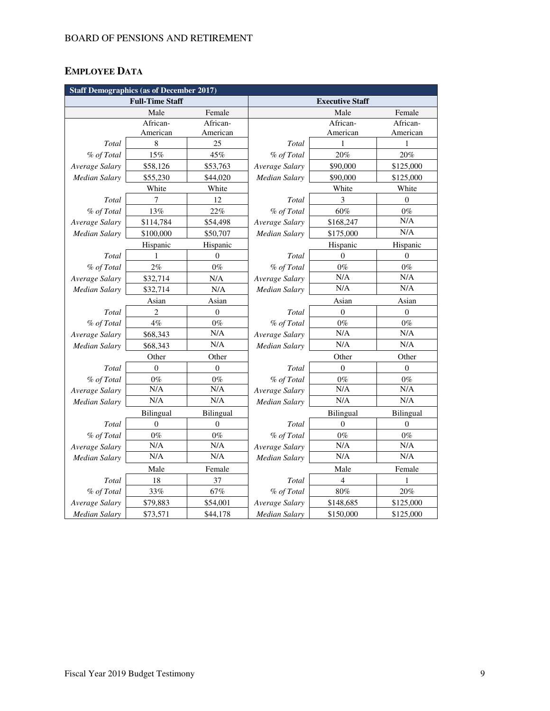# **EMPLOYEE DATA**

| <b>Staff Demographics (as of December 2017)</b> |                        |                  |                      |                        |                |  |  |
|-------------------------------------------------|------------------------|------------------|----------------------|------------------------|----------------|--|--|
|                                                 | <b>Full-Time Staff</b> |                  |                      | <b>Executive Staff</b> |                |  |  |
|                                                 | Male                   | Female           |                      | Male                   | Female         |  |  |
|                                                 | African-               | African-         |                      | African-               | African-       |  |  |
|                                                 | American               | American         |                      | American               | American       |  |  |
| Total                                           | 8                      | 25               | Total                | 1                      | 1              |  |  |
| % of Total                                      | 15%                    | 45%              | % of Total           | 20%                    | 20%            |  |  |
| Average Salary                                  | \$58,126               | \$53,763         | Average Salary       | \$90,000               | \$125,000      |  |  |
| <b>Median Salary</b>                            | \$55,230               | \$44,020         | Median Salary        | \$90,000               | \$125,000      |  |  |
|                                                 | White                  | White            |                      | White                  | White          |  |  |
| Total                                           | 7                      | 12               | Total                | 3                      | $\overline{0}$ |  |  |
| % of Total                                      | 13%                    | 22%              | % of Total           | 60%                    | $0\%$          |  |  |
| Average Salary                                  | \$114,784              | \$54,498         | Average Salary       | \$168,247              | N/A            |  |  |
| <b>Median Salary</b>                            | \$100,000              | \$50,707         | Median Salary        | \$175,000              | N/A            |  |  |
|                                                 | Hispanic               | Hispanic         |                      | Hispanic               | Hispanic       |  |  |
| Total                                           | 1                      | $\theta$         | Total                | $\theta$               | $\Omega$       |  |  |
| % of Total                                      | 2%                     | $0\%$            | % of Total           | $0\%$                  | $0\%$          |  |  |
| Average Salary                                  | \$32,714               | N/A              | Average Salary       | N/A                    | N/A            |  |  |
| <b>Median Salary</b>                            | \$32,714               | N/A              | Median Salary        | N/A                    | N/A            |  |  |
|                                                 | Asian                  | Asian            |                      | Asian                  | Asian          |  |  |
| Total                                           | $\overline{c}$         | $\boldsymbol{0}$ | Total                | $\boldsymbol{0}$       | $\mathbf{0}$   |  |  |
| % of Total                                      | 4%                     | $0\%$            | % of Total           | $0\%$                  | $0\%$          |  |  |
| Average Salary                                  | \$68,343               | N/A              | Average Salary       | N/A                    | N/A            |  |  |
| <b>Median Salary</b>                            | \$68,343               | N/A              | Median Salary        | N/A                    | N/A            |  |  |
|                                                 | Other                  | Other            | Other<br>Other       |                        |                |  |  |
| Total                                           | $\overline{0}$         | $\theta$         | Total                | $\overline{0}$         | $\overline{0}$ |  |  |
| % of Total                                      | $0\%$                  | $0\%$            | % of Total           | $0\%$                  | $0\%$          |  |  |
| Average Salary                                  | N/A                    | N/A              | Average Salary       | N/A                    | N/A            |  |  |
| <b>Median Salary</b>                            | N/A                    | N/A              | Median Salary        | N/A                    | N/A            |  |  |
|                                                 | Bilingual              | Bilingual        |                      | Bilingual              | Bilingual      |  |  |
| Total                                           | $\overline{0}$         | $\overline{0}$   | Total                | $\theta$               | $\mathbf{0}$   |  |  |
| % of Total                                      | $0\%$                  | $0\%$            | % of Total           | $0\%$                  | $0\%$          |  |  |
| Average Salary                                  | N/A                    | N/A              | Average Salary       | N/A                    | N/A            |  |  |
| Median Salary                                   | N/A                    | N/A              | Median Salary        | N/A                    | N/A            |  |  |
|                                                 | Male                   | Female           |                      | Male                   | Female         |  |  |
| Total                                           | 18                     | 37               | Total                | $\overline{4}$         | 1              |  |  |
| % of Total                                      | 33%                    | 67%              | % of Total           | 80%                    | 20%            |  |  |
| Average Salary                                  | \$79,883               | \$54,001         | Average Salary       | \$148,685              | \$125,000      |  |  |
| <b>Median Salary</b>                            | \$73,571               | \$44,178         | <b>Median Salary</b> | \$150,000              | \$125,000      |  |  |